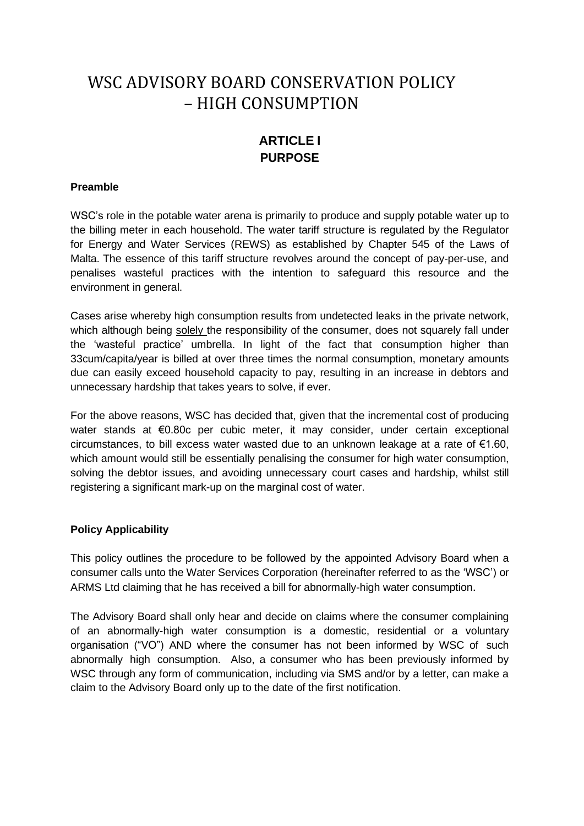# WSC ADVISORY BOARD CONSERVATION POLICY – HIGH CONSUMPTION

# **ARTICLE I PURPOSE**

### **Preamble**

WSC's role in the potable water arena is primarily to produce and supply potable water up to the billing meter in each household. The water tariff structure is regulated by the Regulator for Energy and Water Services (REWS) as established by Chapter 545 of the Laws of Malta. The essence of this tariff structure revolves around the concept of pay-per-use, and penalises wasteful practices with the intention to safeguard this resource and the environment in general.

Cases arise whereby high consumption results from undetected leaks in the private network, which although being solely the responsibility of the consumer, does not squarely fall under the 'wasteful practice' umbrella. In light of the fact that consumption higher than 33cum/capita/year is billed at over three times the normal consumption, monetary amounts due can easily exceed household capacity to pay, resulting in an increase in debtors and unnecessary hardship that takes years to solve, if ever.

For the above reasons, WSC has decided that, given that the incremental cost of producing water stands at €0.80c per cubic meter, it may consider, under certain exceptional circumstances, to bill excess water wasted due to an unknown leakage at a rate of €1.60, which amount would still be essentially penalising the consumer for high water consumption, solving the debtor issues, and avoiding unnecessary court cases and hardship, whilst still registering a significant mark-up on the marginal cost of water.

### **Policy Applicability**

This policy outlines the procedure to be followed by the appointed Advisory Board when a consumer calls unto the Water Services Corporation (hereinafter referred to as the 'WSC') or ARMS Ltd claiming that he has received a bill for abnormally-high water consumption.

The Advisory Board shall only hear and decide on claims where the consumer complaining of an abnormally-high water consumption is a domestic, residential or a voluntary organisation ("VO") AND where the consumer has not been informed by WSC of such abnormally high consumption. Also, a consumer who has been previously informed by WSC through any form of communication, including via SMS and/or by a letter, can make a claim to the Advisory Board only up to the date of the first notification.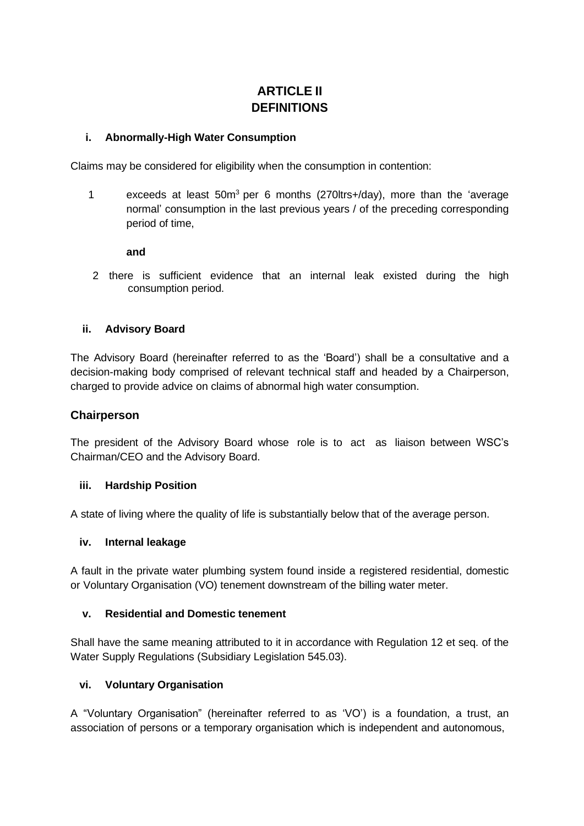# **ARTICLE II DEFINITIONS**

### **i. Abnormally-High Water Consumption**

Claims may be considered for eligibility when the consumption in contention:

1 exceeds at least 50m<sup>3</sup> per 6 months (270ltrs+/day), more than the 'average normal' consumption in the last previous years / of the preceding corresponding period of time,

#### **and**

2 there is sufficient evidence that an internal leak existed during the high consumption period.

#### **ii. Advisory Board**

The Advisory Board (hereinafter referred to as the 'Board') shall be a consultative and a decision-making body comprised of relevant technical staff and headed by a Chairperson, charged to provide advice on claims of abnormal high water consumption.

### **Chairperson**

The president of the Advisory Board whose role is to act as liaison between WSC's Chairman/CEO and the Advisory Board.

#### **iii. Hardship Position**

A state of living where the quality of life is substantially below that of the average person.

#### **iv. Internal leakage**

A fault in the private water plumbing system found inside a registered residential, domestic or Voluntary Organisation (VO) tenement downstream of the billing water meter.

#### **v. Residential and Domestic tenement**

Shall have the same meaning attributed to it in accordance with Regulation 12 et seq. of the Water Supply Regulations (Subsidiary Legislation 545.03).

### **vi. Voluntary Organisation**

A "Voluntary Organisation" (hereinafter referred to as 'VO') is a foundation, a trust, an association of persons or a temporary organisation which is independent and autonomous,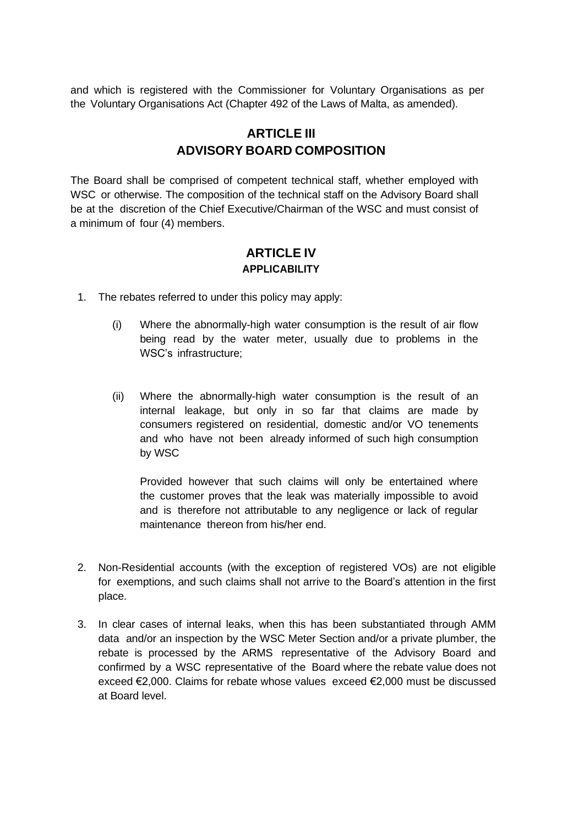and which is registered with the Commissioner for Voluntary Organisations as per the Voluntary Organisations Act (Chapter 492 of the Laws of Malta, as amended).

# **ARTICLE III ADVISORY BOARD COMPOSITION**

The Board shall be comprised of competent technical staff, whether employed with WSC or otherwise. The composition of the technical staff on the Advisory Board shall be at the discretion of the Chief Executive/Chairman of the WSC and must consist of a minimum of four (4) members.

### **ARTICLE IV APPLICABILITY**

- 1. The rebates referred to under this policy may apply:
	- (i) Where the abnormally-high water consumption is the result of air flow being read by the water meter, usually due to problems in the WSC's infrastructure;
	- (ii) Where the abnormally-high water consumption is the result of an internal leakage, but only in so far that claims are made by consumers registered on residential, domestic and/or VO tenements and who have not been already informed of such high consumption by WSC

Provided however that such claims will only be entertained where the customer proves that the leak was materially impossible to avoid and is therefore not attributable to any negligence or lack of regular maintenance thereon from his/her end.

- 2. Non-Residential accounts (with the exception of registered VOs) are not eligible for exemptions, and such claims shall not arrive to the Board's attention in the first place.
- 3. In clear cases of internal leaks, when this has been substantiated through AMM data and/or an inspection by the WSC Meter Section and/or a private plumber, the rebate is processed by the ARMS representative of the Advisory Board and confirmed by a WSC representative of the Board where the rebate value does not exceed €2,000. Claims for rebate whose values exceed €2,000 must be discussed at Board level.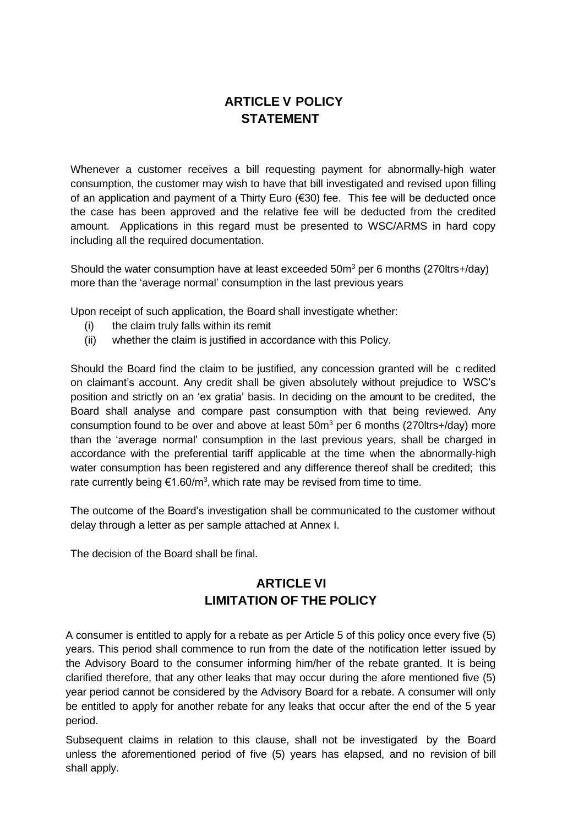## **ARTICLE V POLICY STATEMENT**

Whenever a customer receives a bill requesting payment for abnormally-high water consumption, the customer may wish to have that bill investigated and revised upon filling of an application and payment of a Thirty Euro (€30) fee. This fee will be deducted once the case has been approved and the relative fee will be deducted from the credited amount. Applications in this regard must be presented to WSC/ARMS in hard copy including all the required documentation.

Should the water consumption have at least exceeded  $50m<sup>3</sup>$  per 6 months (270ltrs+/day) more than the 'average normal' consumption in the last previous years

Upon receipt of such application, the Board shall investigate whether:

- (i) the claim truly falls within its remit
- (ii) whether the claim is justified in accordance with this Policy.

Should the Board find the claim to be justified, any concession granted will be c redited on claimant's account. Any credit shall be given absolutely without prejudice to WSC's position and strictly on an 'ex gratia' basis. In deciding on the amount to be credited, the Board shall analyse and compare past consumption with that being reviewed. Any consumption found to be over and above at least  $50m<sup>3</sup>$  per 6 months (270ltrs+/day) more than the 'average normal' consumption in the last previous years, shall be charged in accordance with the preferential tariff applicable at the time when the abnormally-high water consumption has been registered and any difference thereof shall be credited; this rate currently being  $\epsilon$ 1.60/m<sup>3</sup>, which rate may be revised from time to time.

The outcome of the Board's investigation shall be communicated to the customer without delay through a letter as per sample attached at Annex I.

The decision of the Board shall be final.

# **ARTICLE VI LIMITATION OF THE POLICY**

A consumer is entitled to apply for a rebate as per Article 5 of this policy once every five (5) years. This period shall commence to run from the date of the notification letter issued by the Advisory Board to the consumer informing him/her of the rebate granted. It is being clarified therefore, that any other leaks that may occur during the afore mentioned five (5) year period cannot be considered by the Advisory Board for a rebate. A consumer will only be entitled to apply for another rebate for any leaks that occur after the end of the 5 year period.

Subsequent claims in relation to this clause, shall not be investigated by the Board unless the aforementioned period of five (5) years has elapsed, and no revision of bill shall apply.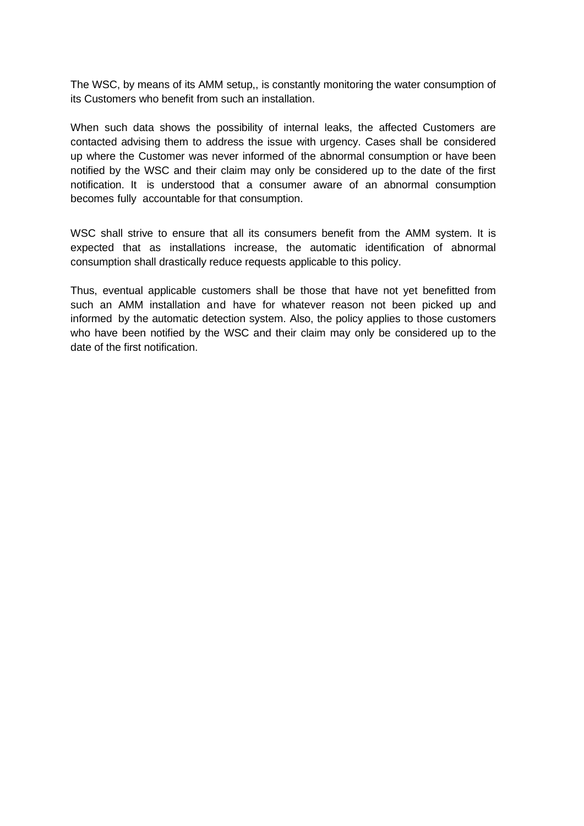The WSC, by means of its AMM setup,, is constantly monitoring the water consumption of its Customers who benefit from such an installation.

When such data shows the possibility of internal leaks, the affected Customers are contacted advising them to address the issue with urgency. Cases shall be considered up where the Customer was never informed of the abnormal consumption or have been notified by the WSC and their claim may only be considered up to the date of the first notification. It is understood that a consumer aware of an abnormal consumption becomes fully accountable for that consumption.

WSC shall strive to ensure that all its consumers benefit from the AMM system. It is expected that as installations increase, the automatic identification of abnormal consumption shall drastically reduce requests applicable to this policy.

Thus, eventual applicable customers shall be those that have not yet benefitted from such an AMM installation and have for whatever reason not been picked up and informed by the automatic detection system. Also, the policy applies to those customers who have been notified by the WSC and their claim may only be considered up to the date of the first notification.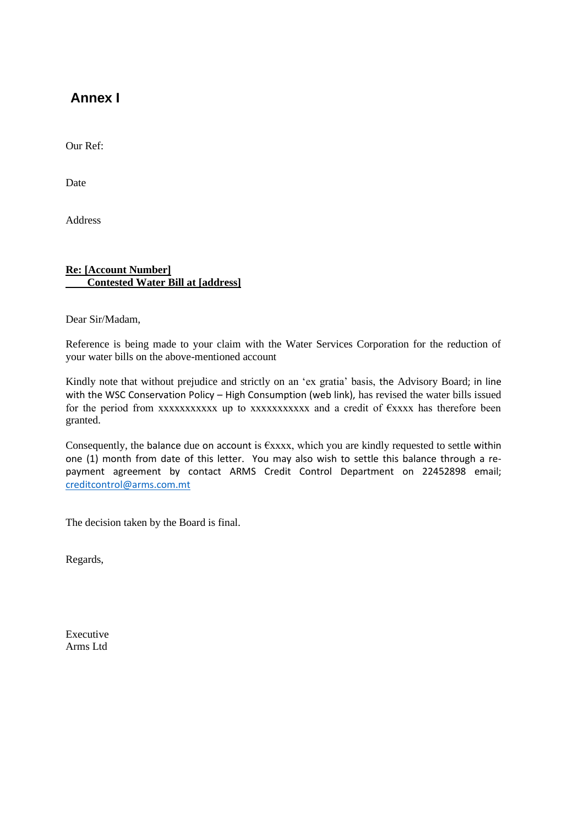# **Annex I**

Our Ref:

Date

Address

### **Re: [Account Number] Contested Water Bill at [address]**

Dear Sir/Madam,

Reference is being made to your claim with the Water Services Corporation for the reduction of your water bills on the above-mentioned account

Kindly note that without prejudice and strictly on an 'ex gratia' basis, the Advisory Board; in line with the WSC Conservation Policy – High Consumption (web link), has revised the water bills issued for the period from xxxxxxxxxxx up to xxxxxxxxxxx and a credit of  $\epsilon$ xxxx has therefore been granted.

Consequently, the balance due on account is  $\epsilon$ xxxx, which you are kindly requested to settle within one (1) month from date of this letter. You may also wish to settle this balance through a repayment agreement by contact ARMS Credit Control Department on 22452898 email; [creditcontrol@arms.com.mt](mailto:creditcontrol@arms.com.mt)

The decision taken by the Board is final.

Regards,

Executive Arms Ltd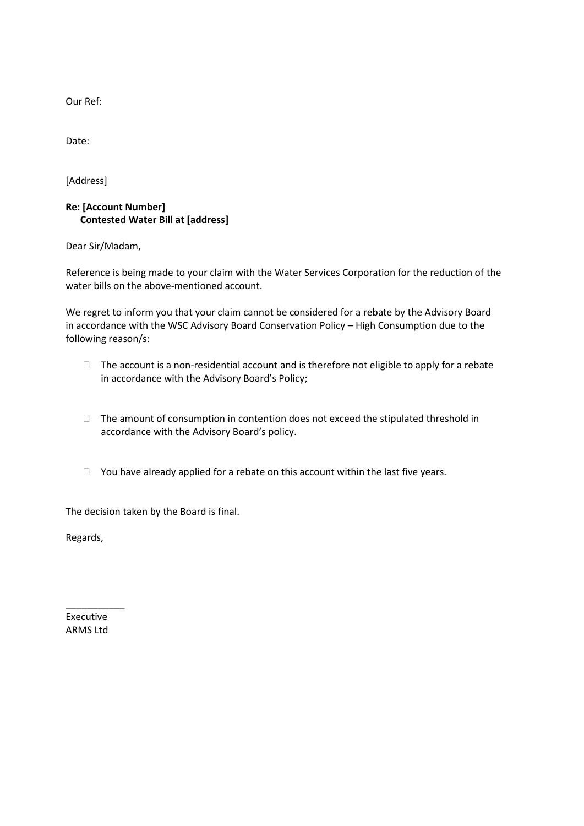Our Ref:

Date:

[Address]

### **Re: [Account Number] Contested Water Bill at [address]**

Dear Sir/Madam,

Reference is being made to your claim with the Water Services Corporation for the reduction of the water bills on the above-mentioned account.

We regret to inform you that your claim cannot be considered for a rebate by the Advisory Board in accordance with the WSC Advisory Board Conservation Policy – High Consumption due to the following reason/s:

- $\Box$  The account is a non-residential account and is therefore not eligible to apply for a rebate in accordance with the Advisory Board's Policy;
- $\Box$  The amount of consumption in contention does not exceed the stipulated threshold in accordance with the Advisory Board's policy.
- $\Box$  You have already applied for a rebate on this account within the last five years.

The decision taken by the Board is final.

Regards,

Executive ARMS Ltd

\_\_\_\_\_\_\_\_\_\_\_